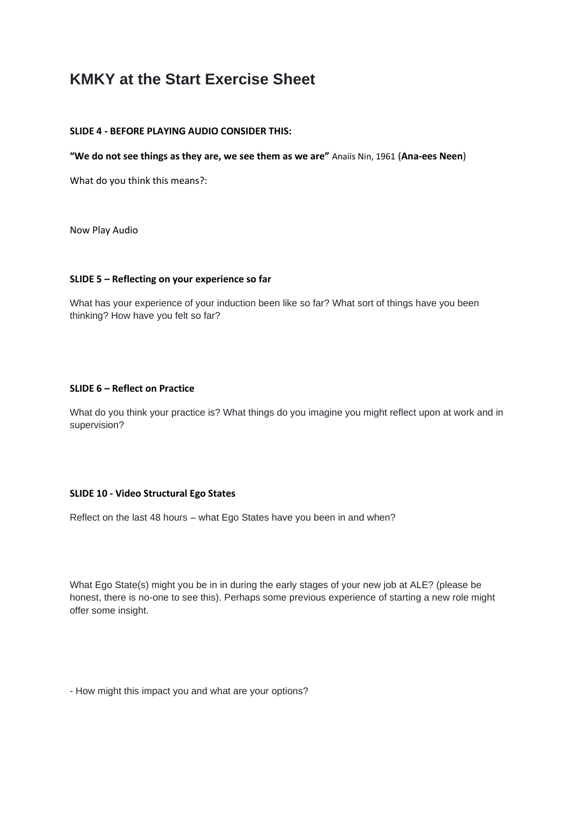# **KMKY at the Start Exercise Sheet**

## **SLIDE 4 - BEFORE PLAYING AUDIO CONSIDER THIS:**

**"We do not see things as they are, we see them as we are"** Anaiis Nin, 1961 (**Ana-ees Neen**)

What do you think this means?:

Now Play Audio

#### **SLIDE 5 – Reflecting on your experience so far**

What has your experience of your induction been like so far? What sort of things have you been thinking? How have you felt so far?

#### **SLIDE 6 – Reflect on Practice**

What do you think your practice is? What things do you imagine you might reflect upon at work and in supervision?

# **SLIDE 10 - Video Structural Ego States**

Reflect on the last 48 hours – what Ego States have you been in and when?

What Ego State(s) might you be in in during the early stages of your new job at ALE? (please be honest, there is no-one to see this). Perhaps some previous experience of starting a new role might offer some insight.

- How might this impact you and what are your options?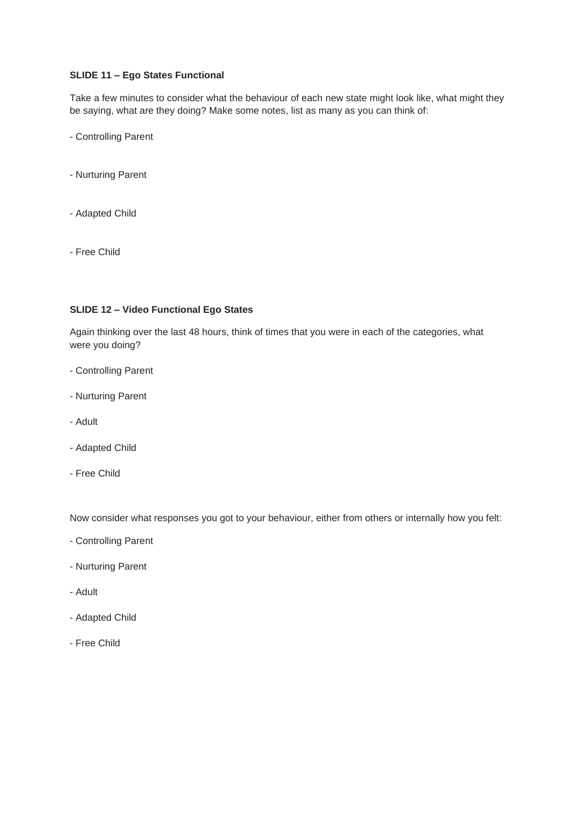# **SLIDE 11 – Ego States Functional**

Take a few minutes to consider what the behaviour of each new state might look like, what might they be saying, what are they doing? Make some notes, list as many as you can think of:

- Controlling Parent
- Nurturing Parent
- Adapted Child
- Free Child

#### **SLIDE 12 – Video Functional Ego States**

Again thinking over the last 48 hours, think of times that you were in each of the categories, what were you doing?

- Controlling Parent
- Nurturing Parent
- Adult
- Adapted Child
- Free Child

Now consider what responses you got to your behaviour, either from others or internally how you felt:

- Controlling Parent
- Nurturing Parent
- Adult
- Adapted Child
- Free Child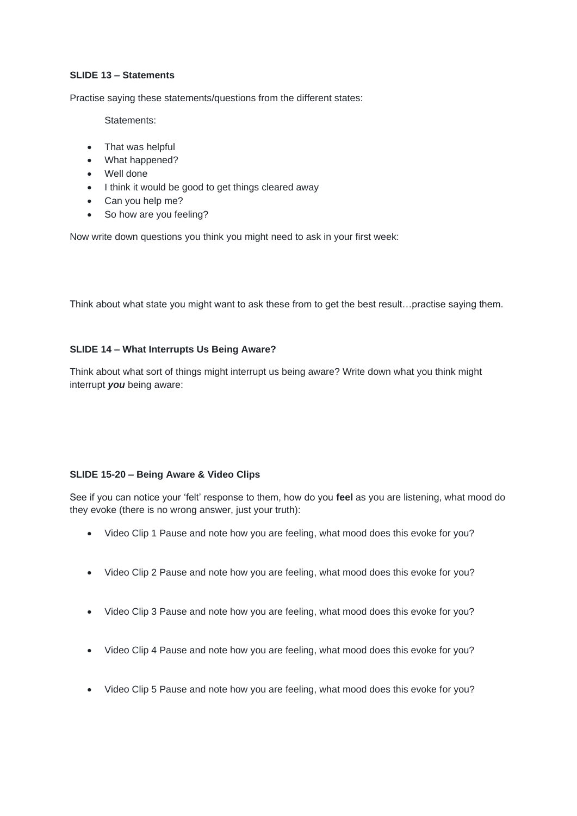# **SLIDE 13 – Statements**

Practise saying these statements/questions from the different states:

Statements:

- That was helpful
- What happened?
- Well done
- I think it would be good to get things cleared away
- Can you help me?
- So how are you feeling?

Now write down questions you think you might need to ask in your first week:

Think about what state you might want to ask these from to get the best result…practise saying them.

# **SLIDE 14 – What Interrupts Us Being Aware?**

Think about what sort of things might interrupt us being aware? Write down what you think might interrupt *you* being aware:

# **SLIDE 15-20 – Being Aware & Video Clips**

See if you can notice your 'felt' response to them, how do you **feel** as you are listening, what mood do they evoke (there is no wrong answer, just your truth):

- Video Clip 1 Pause and note how you are feeling, what mood does this evoke for you?
- Video Clip 2 Pause and note how you are feeling, what mood does this evoke for you?
- Video Clip 3 Pause and note how you are feeling, what mood does this evoke for you?
- Video Clip 4 Pause and note how you are feeling, what mood does this evoke for you?
- Video Clip 5 Pause and note how you are feeling, what mood does this evoke for you?